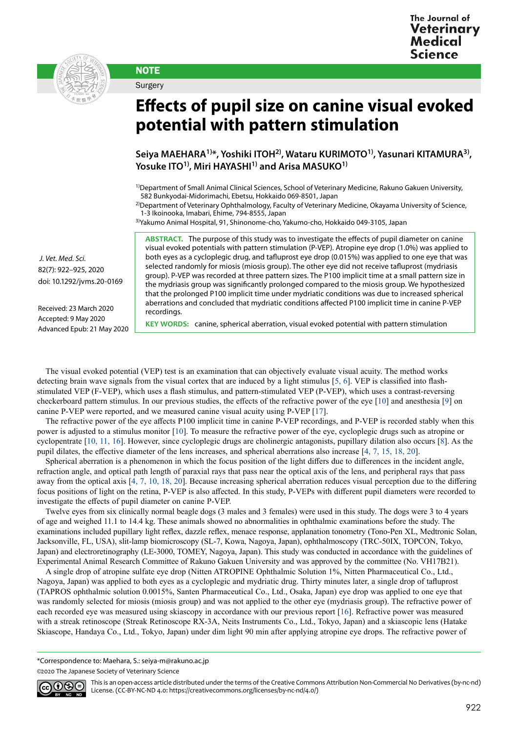



**NOTE** Surgery

## **Effects of pupil size on canine visual evoked potential with pattern stimulation**

Seiya MAEHARA<sup>1)\*</sup>, Yoshiki ITOH<sup>2)</sup>, Wataru KURIMOTO<sup>1)</sup>, Yasunari KITAMURA<sup>3)</sup>, Yosuke ITO<sup>1)</sup>, Miri HAYASHI<sup>1)</sup> and Arisa MASUKO<sup>1)</sup>

1)Department of Small Animal Clinical Sciences, School of Veterinary Medicine, Rakuno Gakuen University, 582 Bunkyodai-Midorimachi, Ebetsu, Hokkaido 069-8501, Japan

<sup>2)</sup>Department of Veterinary Ophthalmology, Faculty of Veterinary Medicine, Okayama University of Science, 1-3 Ikoinooka, Imabari, Ehime, 794-8555, Japan

3)Yakumo Animal Hospital, 91, Shinonome-cho, Yakumo-cho, Hokkaido 049-3105, Japan

**ABSTRACT.** The purpose of this study was to investigate the effects of pupil diameter on canine visual evoked potentials with pattern stimulation (P-VEP). Atropine eye drop (1.0%) was applied to both eyes as a cycloplegic drug, and tafluprost eye drop (0.015%) was applied to one eye that was selected randomly for miosis (miosis group). The other eye did not receive tafluprost (mydriasis group). P-VEP was recorded at three pattern sizes. The P100 implicit time at a small pattern size in the mydriasis group was significantly prolonged compared to the miosis group. We hypothesized that the prolonged P100 implicit time under mydriatic conditions was due to increased spherical aberrations and concluded that mydriatic conditions affected P100 implicit time in canine P-VEP recordings.

 *J. Vet. Med. Sci.*  82(7): 922–925, 2020 doi: 10.1292/jvms.20-0169

Received: 23 March 2020 Accepted: 9 May 2020 Advanced Epub: 21 May 2020

**KEY WORDS:** canine, spherical aberration, visual evoked potential with pattern stimulation

The visual evoked potential (VEP) test is an examination that can objectively evaluate visual acuity. The method works detecting brain wave signals from the visual cortex that are induced by a light stimulus [[5, 6](#page-3-0)]. VEP is classified into flashstimulated VEP (F-VEP), which uses a flash stimulus, and pattern-stimulated VEP (P-VEP), which uses a contrast-reversing checkerboard pattern stimulus. In our previous studies, the effects of the refractive power of the eye [[10\]](#page-3-1) and anesthesia [\[9](#page-3-2)] on canine P-VEP were reported, and we measured canine visual acuity using P-VEP [[17\]](#page-3-3).

The refractive power of the eye affects P100 implicit time in canine P-VEP recordings, and P-VEP is recorded stably when this power is adjusted to a stimulus monitor [\[10\]](#page-3-1). To measure the refractive power of the eye, cycloplegic drugs such as atropine or cyclopentrate [\[10, 11, 16\]](#page-3-1). However, since cycloplegic drugs are cholinergic antagonists, pupillary dilation also occurs [\[8](#page-3-4)]. As the pupil dilates, the effective diameter of the lens increases, and spherical aberrations also increase [[4, 7, 15, 18, 20](#page-3-5)].

Spherical aberration is a phenomenon in which the focus position of the light differs due to differences in the incident angle, refraction angle, and optical path length of paraxial rays that pass near the optical axis of the lens, and peripheral rays that pass away from the optical axis [\[4, 7, 10, 18, 20](#page-3-5)]. Because increasing spherical aberration reduces visual perception due to the differing focus positions of light on the retina, P-VEP is also affected. In this study, P-VEPs with different pupil diameters were recorded to investigate the effects of pupil diameter on canine P-VEP.

Twelve eyes from six clinically normal beagle dogs (3 males and 3 females) were used in this study. The dogs were 3 to 4 years of age and weighed 11.1 to 14.4 kg. These animals showed no abnormalities in ophthalmic examinations before the study. The examinations included pupillary light reflex, dazzle reflex, menace response, applanation tonometry (Tono-Pen XL, Medtronic Solan, Jacksonville, FL, USA), slit-lamp biomicroscopy (SL-7, Kowa, Nagoya, Japan), ophthalmoscopy (TRC-50IX, TOPCON, Tokyo, Japan) and electroretinography (LE-3000, TOMEY, Nagoya, Japan). This study was conducted in accordance with the guidelines of Experimental Animal Research Committee of Rakuno Gakuen University and was approved by the committee (No. VH17B21).

A single drop of atropine sulfate eye drop (Nitten ATROPINE Ophthalmic Solution 1%, Nitten Pharmaceutical Co., Ltd., Nagoya, Japan) was applied to both eyes as a cycloplegic and mydriatic drug. Thirty minutes later, a single drop of tafluprost (TAPROS ophthalmic solution 0.0015%, Santen Pharmaceutical Co., Ltd., Osaka, Japan) eye drop was applied to one eye that was randomly selected for miosis (miosis group) and was not applied to the other eye (mydriasis group). The refractive power of each recorded eye was measured using skiascopy in accordance with our previous report [\[16](#page-3-6)]. Refractive power was measured with a streak retinoscope (Streak Retinoscope RX-3A, Neits Instruments Co., Ltd., Tokyo, Japan) and a skiascopic lens (Hatake Skiascope, Handaya Co., Ltd., Tokyo, Japan) under dim light 90 min after applying atropine eye drops. The refractive power of

\*Correspondence to: Maehara, S.: seiya-m@rakuno.ac.jp

©2020 The Japanese Society of Veterinary Science



This is an open-access article distributed under the terms of the Creative Commons Attribution Non-Commercial No Derivatives (by-nc-nd) License. (CC-BY-NC-ND 4.0: <https://creativecommons.org/licenses/by-nc-nd/4.0/>)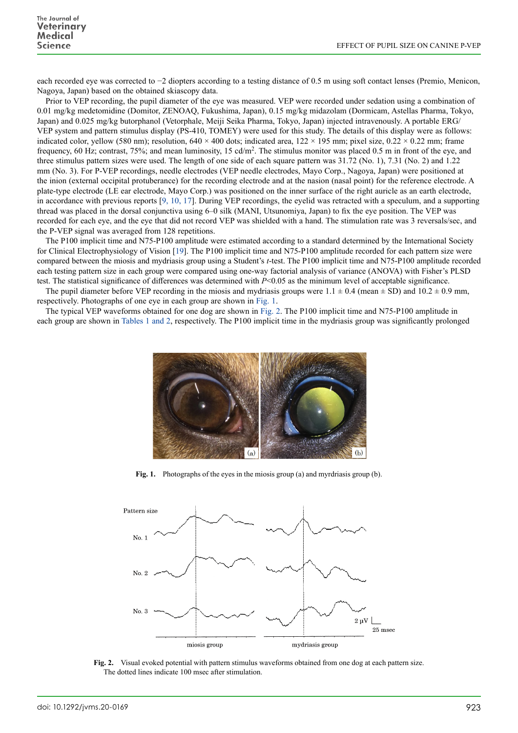each recorded eye was corrected to −2 diopters according to a testing distance of 0.5 m using soft contact lenses (Premio, Menicon, Nagoya, Japan) based on the obtained skiascopy data.

Prior to VEP recording, the pupil diameter of the eye was measured. VEP were recorded under sedation using a combination of 0.01 mg/kg medetomidine (Domitor, ZENOAQ, Fukushima, Japan), 0.15 mg/kg midazolam (Dormicam, Astellas Pharma, Tokyo, Japan) and 0.025 mg/kg butorphanol (Vetorphale, Meiji Seika Pharma, Tokyo, Japan) injected intravenously. A portable ERG/ VEP system and pattern stimulus display (PS-410, TOMEY) were used for this study. The details of this display were as follows: indicated color, yellow (580 nm); resolution,  $640 \times 400$  dots; indicated area,  $122 \times 195$  mm; pixel size,  $0.22 \times 0.22$  mm; frame frequency, 60 Hz; contrast, 75%; and mean luminosity, 15 cd/m2. The stimulus monitor was placed 0.5 m in front of the eye, and three stimulus pattern sizes were used. The length of one side of each square pattern was 31.72 (No. 1), 7.31 (No. 2) and 1.22 mm (No. 3). For P-VEP recordings, needle electrodes (VEP needle electrodes, Mayo Corp., Nagoya, Japan) were positioned at the inion (external occipital protuberance) for the recording electrode and at the nasion (nasal point) for the reference electrode. A plate-type electrode (LE ear electrode, Mayo Corp.) was positioned on the inner surface of the right auricle as an earth electrode, in accordance with previous reports [\[9, 10, 17](#page-3-2)]. During VEP recordings, the eyelid was retracted with a speculum, and a supporting thread was placed in the dorsal conjunctiva using 6–0 silk (MANI, Utsunomiya, Japan) to fix the eye position. The VEP was recorded for each eye, and the eye that did not record VEP was shielded with a hand. The stimulation rate was 3 reversals/sec, and the P-VEP signal was averaged from 128 repetitions.

The P100 implicit time and N75-P100 amplitude were estimated according to a standard determined by the International Society for Clinical Electrophysiology of Vision [[19](#page-3-7)]. The P100 implicit time and N75-P100 amplitude recorded for each pattern size were compared between the miosis and mydriasis group using a Student's *t*-test. The P100 implicit time and N75-P100 amplitude recorded each testing pattern size in each group were compared using one-way factorial analysis of variance (ANOVA) with Fisher's PLSD test. The statistical significance of differences was determined with *P*<0.05 as the minimum level of acceptable significance.

The pupil diameter before VEP recording in the miosis and mydriasis groups were 1.1  $\pm$  0.4 (mean  $\pm$  SD) and 10.2  $\pm$  0.9 mm, respectively. Photographs of one eye in each group are shown in Fig. 1.

The typical VEP waveforms obtained for one dog are shown in Fig. 2. The P100 implicit time and N75-P100 amplitude in each group are shown in Tables 1 and 2, respectively. The P100 implicit time in the mydriasis group was significantly prolonged



**Fig. 1.** Photographs of the eyes in the miosis group (a) and myrdriasis group (b).



**Fig. 2.** Visual evoked potential with pattern stimulus waveforms obtained from one dog at each pattern size. The dotted lines indicate 100 msec after stimulation.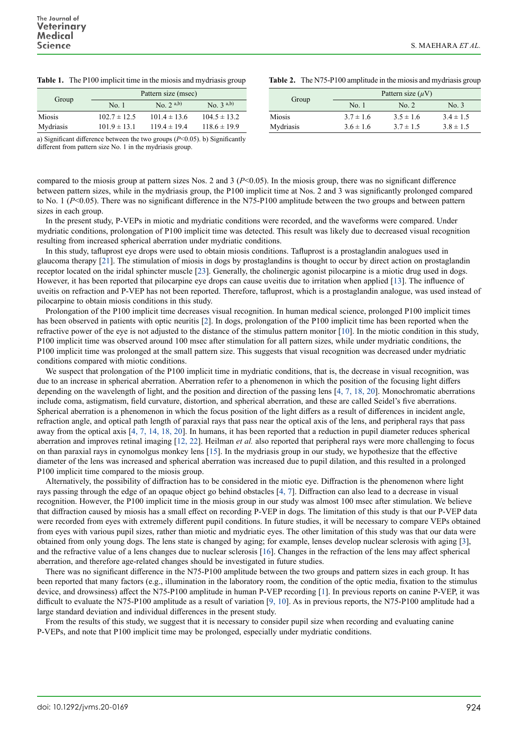|  |  | <b>Table 1.</b> The P100 implicit time in the miosis and mydriasis group |
|--|--|--------------------------------------------------------------------------|
|  |  |                                                                          |

| Group     |                  | Pattern size (msec) |                  |
|-----------|------------------|---------------------|------------------|
|           | No. 1            | No. $2^{(a,b)}$     | $No. 3^{a,b}$    |
| Miosis    | $102.7 \pm 12.5$ | $101.4 \pm 13.6$    | $104.5 \pm 13.2$ |
| Mydriasis | $101.9 \pm 13.1$ | $119.4 \pm 19.4$    | $118.6 \pm 19.9$ |

Group **Pattern size**  $(\mu V)$ <br>No. 1 No. 2 No. 3 Miosis  $3.7 \pm 1.6$   $3.5 \pm 1.6$   $3.4 \pm 1.5$ Mydriasis  $3.6 \pm 1.6$   $3.7 \pm 1.5$   $3.8 \pm 1.5$ 

**Table 2.** The N75-P100 amplitude in the miosis and mydriasis group

a) Significant difference between the two groups (*P*<0.05). b) Significantly different from pattern size No. 1 in the mydriasis group.

compared to the miosis group at pattern sizes Nos. 2 and 3 ( $P<0.05$ ). In the miosis group, there was no significant difference between pattern sizes, while in the mydriasis group, the P100 implicit time at Nos. 2 and 3 was significantly prolonged compared to No. 1 ( $P \le 0.05$ ). There was no significant difference in the N75-P100 amplitude between the two groups and between pattern sizes in each group.

In the present study, P-VEPs in miotic and mydriatic conditions were recorded, and the waveforms were compared. Under mydriatic conditions, prolongation of P100 implicit time was detected. This result was likely due to decreased visual recognition resulting from increased spherical aberration under mydriatic conditions.

In this study, tafluprost eye drops were used to obtain miosis conditions. Tafluprost is a prostaglandin analogues used in glaucoma therapy [\[21\]](#page-3-8). The stimulation of miosis in dogs by prostaglandins is thought to occur by direct action on prostaglandin receptor located on the iridal sphincter muscle [\[23](#page-3-9)]. Generally, the cholinergic agonist pilocarpine is a miotic drug used in dogs. However, it has been reported that pilocarpine eye drops can cause uveitis due to irritation when applied [\[13](#page-3-10)]. The influence of uveitis on refraction and P-VEP has not been reported. Therefore, tafluprost, which is a prostaglandin analogue, was used instead of pilocarpine to obtain miosis conditions in this study.

Prolongation of the P100 implicit time decreases visual recognition. In human medical science, prolonged P100 implicit times has been observed in patients with optic neuritis [[2](#page-3-11)]. In dogs, prolongation of the P100 implicit time has been reported when the refractive power of the eye is not adjusted to the distance of the stimulus pattern monitor [\[10\]](#page-3-1). In the miotic condition in this study, P100 implicit time was observed around 100 msec after stimulation for all pattern sizes, while under mydriatic conditions, the P100 implicit time was prolonged at the small pattern size. This suggests that visual recognition was decreased under mydriatic conditions compared with miotic conditions.

We suspect that prolongation of the P100 implicit time in mydriatic conditions, that is, the decrease in visual recognition, was due to an increase in spherical aberration. Aberration refer to a phenomenon in which the position of the focusing light differs depending on the wavelength of light, and the position and direction of the passing lens [\[4, 7, 18, 20](#page-3-5)]. Monochromatic aberrations include coma, astigmatism, field curvature, distortion, and spherical aberration, and these are called Seidel's five aberrations. Spherical aberration is a phenomenon in which the focus position of the light differs as a result of differences in incident angle, refraction angle, and optical path length of paraxial rays that pass near the optical axis of the lens, and peripheral rays that pass away from the optical axis [\[4, 7, 14, 18, 20\]](#page-3-5). In humans, it has been reported that a reduction in pupil diameter reduces spherical aberration and improves retinal imaging [\[12, 22\]](#page-3-12). Heilman *et al.* also reported that peripheral rays were more challenging to focus on than paraxial rays in cynomolgus monkey lens [[15](#page-3-13)]. In the mydriasis group in our study, we hypothesize that the effective diameter of the lens was increased and spherical aberration was increased due to pupil dilation, and this resulted in a prolonged P100 implicit time compared to the miosis group.

Alternatively, the possibility of diffraction has to be considered in the miotic eye. Diffraction is the phenomenon where light rays passing through the edge of an opaque object go behind obstacles [[4, 7](#page-3-5)]. Diffraction can also lead to a decrease in visual recognition. However, the P100 implicit time in the miosis group in our study was almost 100 msec after stimulation. We believe that diffraction caused by miosis has a small effect on recording P-VEP in dogs. The limitation of this study is that our P-VEP data were recorded from eyes with extremely different pupil conditions. In future studies, it will be necessary to compare VEPs obtained from eyes with various pupil sizes, rather than miotic and mydriatic eyes. The other limitation of this study was that our data were obtained from only young dogs. The lens state is changed by aging; for example, lenses develop nuclear sclerosis with aging [\[3\]](#page-3-14), and the refractive value of a lens changes due to nuclear sclerosis [[16](#page-3-6)]. Changes in the refraction of the lens may affect spherical aberration, and therefore age-related changes should be investigated in future studies.

There was no significant difference in the N75-P100 amplitude between the two groups and pattern sizes in each group. It has been reported that many factors (e.g., illumination in the laboratory room, the condition of the optic media, fixation to the stimulus device, and drowsiness) affect the N75-P100 amplitude in human P-VEP recording [[1](#page-3-15)]. In previous reports on canine P-VEP, it was difficult to evaluate the N75-P100 amplitude as a result of variation [[9, 10](#page-3-2)]. As in previous reports, the N75-P100 amplitude had a large standard deviation and individual differences in the present study.

From the results of this study, we suggest that it is necessary to consider pupil size when recording and evaluating canine P-VEPs, and note that P100 implicit time may be prolonged, especially under mydriatic conditions.